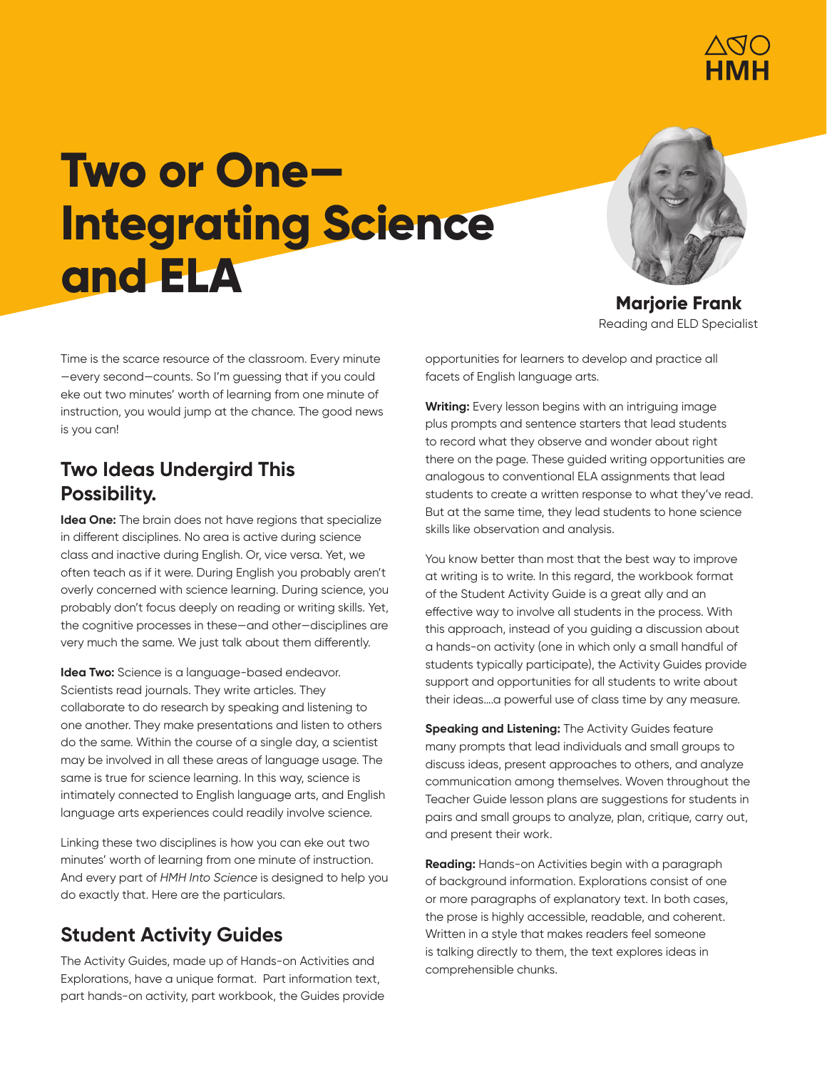

# **Two or One— Integrating Science and ELA**



**Marjorie Frank** Reading and ELD Specialist

Time is the scarce resource of the classroom. Every minute —every second—counts. So I'm guessing that if you could eke out two minutes' worth of learning from one minute of instruction, you would jump at the chance. The good news is you can!

#### **Two Ideas Undergird This Possibility.**

**Idea One:** The brain does not have regions that specialize in different disciplines. No area is active during science class and inactive during English. Or, vice versa. Yet, we often teach as if it were. During English you probably aren't overly concerned with science learning. During science, you probably don't focus deeply on reading or writing skills. Yet, the cognitive processes in these—and other—disciplines are very much the same. We just talk about them differently.

**Idea Two:** Science is a language-based endeavor. Scientists read journals. They write articles. They collaborate to do research by speaking and listening to one another. They make presentations and listen to others do the same. Within the course of a single day, a scientist may be involved in all these areas of language usage. The same is true for science learning. In this way, science is intimately connected to English language arts, and English language arts experiences could readily involve science.

Linking these two disciplines is how you can eke out two minutes' worth of learning from one minute of instruction. And every part of *HMH Into Science* is designed to help you do exactly that. Here are the particulars.

## **Student Activity Guides**

The Activity Guides, made up of Hands-on Activities and Explorations, have a unique format. Part information text, part hands-on activity, part workbook, the Guides provide opportunities for learners to develop and practice all facets of English language arts.

**Writing:** Every lesson begins with an intriguing image plus prompts and sentence starters that lead students to record what they observe and wonder about right there on the page. These guided writing opportunities are analogous to conventional ELA assignments that lead students to create a written response to what they've read. But at the same time, they lead students to hone science skills like observation and analysis.

You know better than most that the best way to improve at writing is to write. In this regard, the workbook format of the Student Activity Guide is a great ally and an effective way to involve all students in the process. With this approach, instead of you guiding a discussion about a hands-on activity (one in which only a small handful of students typically participate), the Activity Guides provide support and opportunities for all students to write about their ideas….a powerful use of class time by any measure.

**Speaking and Listening:** The Activity Guides feature many prompts that lead individuals and small groups to discuss ideas, present approaches to others, and analyze communication among themselves. Woven throughout the Teacher Guide lesson plans are suggestions for students in pairs and small groups to analyze, plan, critique, carry out, and present their work.

**Reading:** Hands-on Activities begin with a paragraph of background information. Explorations consist of one or more paragraphs of explanatory text. In both cases, the prose is highly accessible, readable, and coherent. Written in a style that makes readers feel someone is talking directly to them, the text explores ideas in comprehensible chunks.